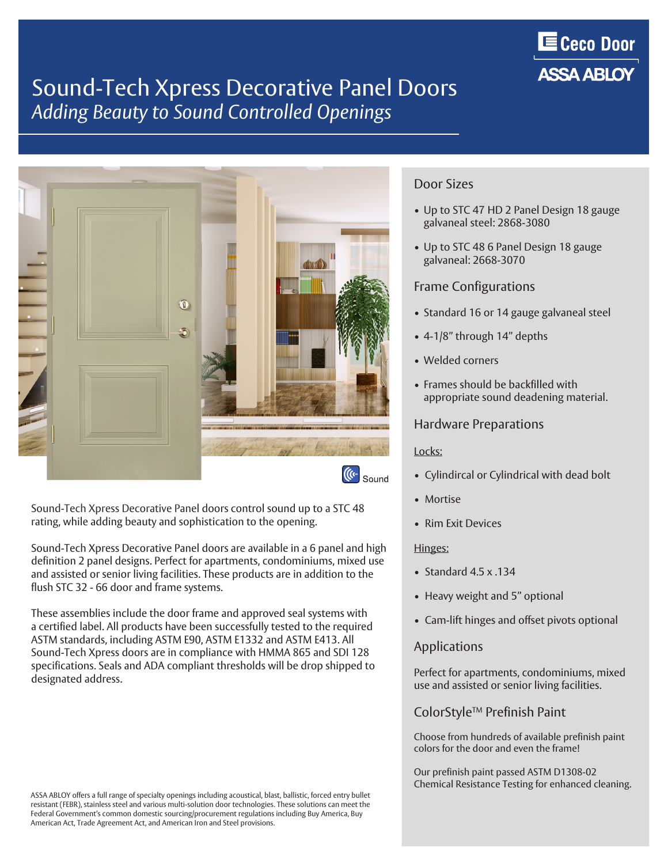

### Sound-Tech Xpress Decorative Panel Doors *Adding Beauty to Sound Controlled Openings*



Sound-Tech Xpress Decorative Panel doors control sound up to a STC 48 rating, while adding beauty and sophistication to the opening.

Sound-Tech Xpress Decorative Panel doors are available in a 6 panel and high definition 2 panel designs. Perfect for apartments, condominiums, mixed use and assisted or senior living facilities. These products are in addition to the flush STC 32 - 66 door and frame systems.

These assemblies include the door frame and approved seal systems with a certified label. All products have been successfully tested to the required ASTM standards, including ASTM E90, ASTM E1332 and ASTM E413. All Sound-Tech Xpress doors are in compliance with HMMA 865 and SDI 128 specifications. Seals and ADA compliant thresholds will be drop shipped to designated address.

# Door Sizes

- Up to STC 47 HD 2 Panel Design 18 gauge galvaneal steel: 2868-3080
- Up to STC 48 6 Panel Design 18 gauge galvaneal: 2668-3070

### Frame Configurations

- Standard 16 or 14 gauge galvaneal steel
- 4-1/8" through 14" depths
- Welded corners
- Frames should be backfilled with appropriate sound deadening material.

#### Hardware Preparations

#### Locks:

- Cylindircal or Cylindrical with dead bolt
- Mortise
- Rim Exit Devices

#### Hinges:

- Standard 4.5 x .134
- Heavy weight and 5" optional
- Cam-lift hinges and offset pivots optional

#### **Applications**

Perfect for apartments, condominiums, mixed use and assisted or senior living facilities.

### ColorStyleTM Prefinish Paint

Choose from hundreds of available prefinish paint colors for the door and even the frame!

Our prefinish paint passed ASTM D1308-02 Chemical Resistance Testing for enhanced cleaning.

ASSA ABLOY offers a full range of specialty openings including acoustical, blast, ballistic, forced entry bullet resistant (FEBR), stainless steel and various multi-solution door technologies. These solutions can meet the Federal Government's common domestic sourcing/procurement regulations including Buy America, Buy American Act, Trade Agreement Act, and American Iron and Steel provisions.